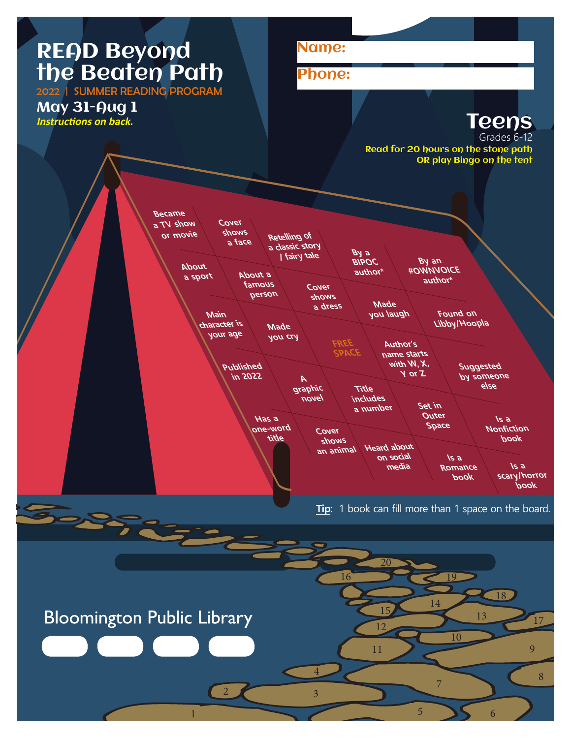